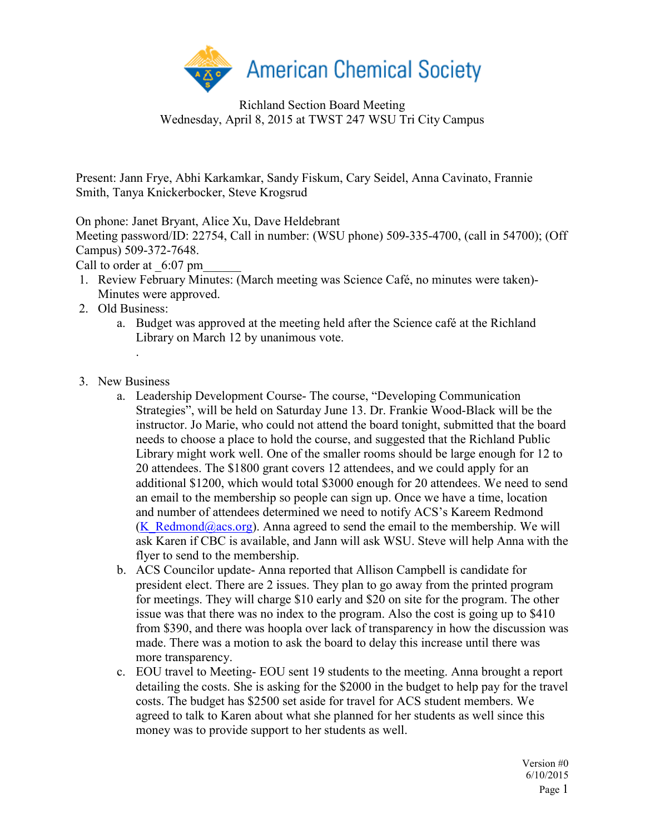

Richland Section Board Meeting Wednesday, April 8, 2015 at TWST 247 WSU Tri City Campus

Present: Jann Frye, Abhi Karkamkar, Sandy Fiskum, Cary Seidel, Anna Cavinato, Frannie Smith, Tanya Knickerbocker, Steve Krogsrud

On phone: Janet Bryant, Alice Xu, Dave Heldebrant

Meeting password/ID: 22754, Call in number: (WSU phone) 509-335-4700, (call in 54700); (Off Campus) 509-372-7648.

Call to order at  $6:07$  pm

- 1. Review February Minutes: (March meeting was Science Café, no minutes were taken)- Minutes were approved.
- 2. Old Business:
	- a. Budget was approved at the meeting held after the Science café at the Richland Library on March 12 by unanimous vote.
- 3. New Business

.

- a. Leadership Development Course- The course, "Developing Communication Strategies", will be held on Saturday June 13. Dr. Frankie Wood-Black will be the instructor. Jo Marie, who could not attend the board tonight, submitted that the board needs to choose a place to hold the course, and suggested that the Richland Public Library might work well. One of the smaller rooms should be large enough for 12 to 20 attendees. The \$1800 grant covers 12 attendees, and we could apply for an additional \$1200, which would total \$3000 enough for 20 attendees. We need to send an email to the membership so people can sign up. Once we have a time, location and number of attendees determined we need to notify ACS's Kareem Redmond [\(K\\_Redmond@acs.org\)](mailto:K_Redmond@acs.org). Anna agreed to send the email to the membership. We will ask Karen if CBC is available, and Jann will ask WSU. Steve will help Anna with the flyer to send to the membership.
- b. ACS Councilor update- Anna reported that Allison Campbell is candidate for president elect. There are 2 issues. They plan to go away from the printed program for meetings. They will charge \$10 early and \$20 on site for the program. The other issue was that there was no index to the program. Also the cost is going up to \$410 from \$390, and there was hoopla over lack of transparency in how the discussion was made. There was a motion to ask the board to delay this increase until there was more transparency.
- c. EOU travel to Meeting- EOU sent 19 students to the meeting. Anna brought a report detailing the costs. She is asking for the \$2000 in the budget to help pay for the travel costs. The budget has \$2500 set aside for travel for ACS student members. We agreed to talk to Karen about what she planned for her students as well since this money was to provide support to her students as well.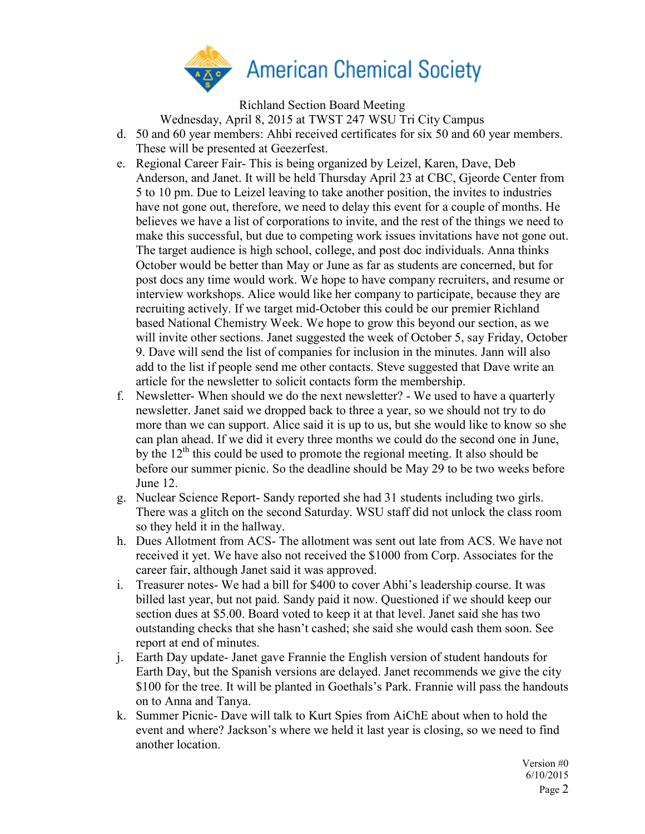

Richland Section Board Meeting

Wednesday, April 8, 2015 at TWST 247 WSU Tri City Campus

- d. 50 and 60 year members: Ahbi received certificates for six 50 and 60 year members. These will be presented at Geezerfest.
- e. Regional Career Fair- This is being organized by Leizel, Karen, Dave, Deb Anderson, and Janet. It will be held Thursday April 23 at CBC, Gjeorde Center from 5 to 10 pm. Due to Leizel leaving to take another position, the invites to industries have not gone out, therefore, we need to delay this event for a couple of months. He believes we have a list of corporations to invite, and the rest of the things we need to make this successful, but due to competing work issues invitations have not gone out. The target audience is high school, college, and post doc individuals. Anna thinks October would be better than May or June as far as students are concerned, but for post docs any time would work. We hope to have company recruiters, and resume or interview workshops. Alice would like her company to participate, because they are recruiting actively. If we target mid-October this could be our premier Richland based National Chemistry Week. We hope to grow this beyond our section, as we will invite other sections. Janet suggested the week of October 5, say Friday, October 9. Dave will send the list of companies for inclusion in the minutes. Jann will also add to the list if people send me other contacts. Steve suggested that Dave write an article for the newsletter to solicit contacts form the membership.
- f. Newsletter- When should we do the next newsletter? We used to have a quarterly newsletter. Janet said we dropped back to three a year, so we should not try to do more than we can support. Alice said it is up to us, but she would like to know so she can plan ahead. If we did it every three months we could do the second one in June, by the  $12<sup>th</sup>$  this could be used to promote the regional meeting. It also should be before our summer picnic. So the deadline should be May 29 to be two weeks before June 12.
- g. Nuclear Science Report- Sandy reported she had 31 students including two girls. There was a glitch on the second Saturday. WSU staff did not unlock the class room so they held it in the hallway.
- h. Dues Allotment from ACS- The allotment was sent out late from ACS. We have not received it yet. We have also not received the \$1000 from Corp. Associates for the career fair, although Janet said it was approved.
- i. Treasurer notes- We had a bill for \$400 to cover Abhi's leadership course. It was billed last year, but not paid. Sandy paid it now. Questioned if we should keep our section dues at \$5.00. Board voted to keep it at that level. Janet said she has two outstanding checks that she hasn't cashed; she said she would cash them soon. See report at end of minutes.
- j. Earth Day update- Janet gave Frannie the English version of student handouts for Earth Day, but the Spanish versions are delayed. Janet recommends we give the city \$100 for the tree. It will be planted in Goethals's Park. Frannie will pass the handouts on to Anna and Tanya.
- k. Summer Picnic- Dave will talk to Kurt Spies from AiChE about when to hold the event and where? Jackson's where we held it last year is closing, so we need to find another location.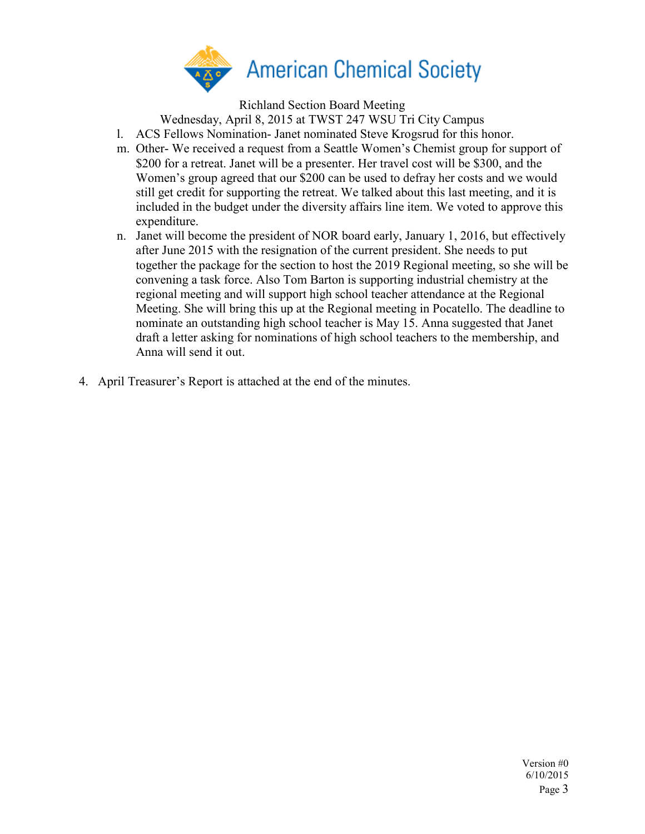

Richland Section Board Meeting

Wednesday, April 8, 2015 at TWST 247 WSU Tri City Campus

l. ACS Fellows Nomination- Janet nominated Steve Krogsrud for this honor.

- m. Other- We received a request from a Seattle Women's Chemist group for support of \$200 for a retreat. Janet will be a presenter. Her travel cost will be \$300, and the Women's group agreed that our \$200 can be used to defray her costs and we would still get credit for supporting the retreat. We talked about this last meeting, and it is included in the budget under the diversity affairs line item. We voted to approve this expenditure.
- n. Janet will become the president of NOR board early, January 1, 2016, but effectively after June 2015 with the resignation of the current president. She needs to put together the package for the section to host the 2019 Regional meeting, so she will be convening a task force. Also Tom Barton is supporting industrial chemistry at the regional meeting and will support high school teacher attendance at the Regional Meeting. She will bring this up at the Regional meeting in Pocatello. The deadline to nominate an outstanding high school teacher is May 15. Anna suggested that Janet draft a letter asking for nominations of high school teachers to the membership, and Anna will send it out.
- 4. April Treasurer's Report is attached at the end of the minutes.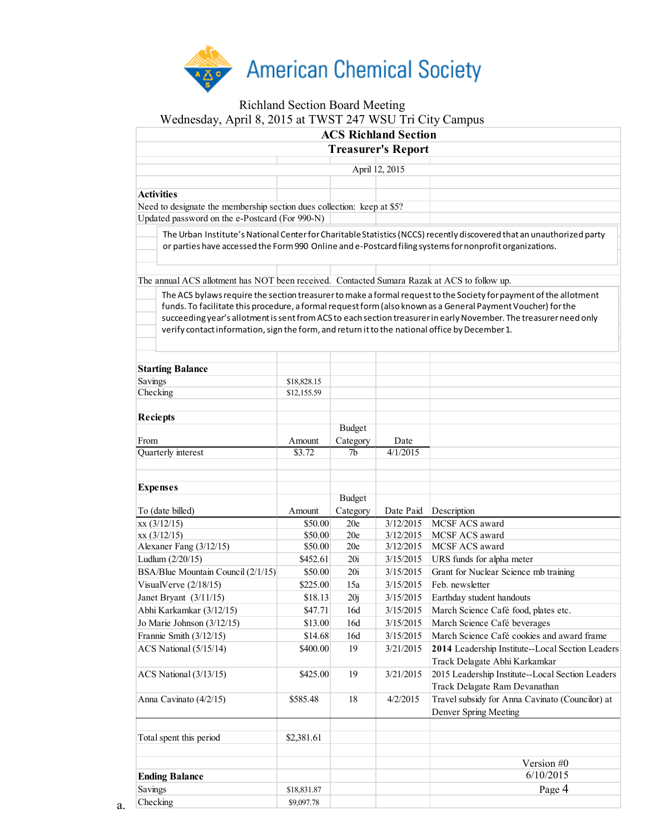

## Richland Section Board Meeting Wednesday, April 8, 2015 at TWST 247 WSU Tri City Campus

| <b>ACS Richland Section</b>                                            |                |  |  |                                                                                                                       |  |  |  |
|------------------------------------------------------------------------|----------------|--|--|-----------------------------------------------------------------------------------------------------------------------|--|--|--|
| <b>Treasurer's Report</b>                                              |                |  |  |                                                                                                                       |  |  |  |
|                                                                        |                |  |  |                                                                                                                       |  |  |  |
|                                                                        | April 12, 2015 |  |  |                                                                                                                       |  |  |  |
|                                                                        |                |  |  |                                                                                                                       |  |  |  |
| Activities                                                             |                |  |  |                                                                                                                       |  |  |  |
| Need to designate the membership section dues collection: keep at \$5? |                |  |  |                                                                                                                       |  |  |  |
| Updated password on the e-Postcard (For 990-N)                         |                |  |  |                                                                                                                       |  |  |  |
|                                                                        |                |  |  | The Urban Institute's National Center for Charitable Statistics (NCCS) recently discovered that an unauthorized party |  |  |  |

or parties have accessed the Form 990 Online and e-Postcard filing systems for nonprofit organizations.

The annual ACS allotment has NOT been received. Contacted Sumara Razak at ACS to follow up.

The ACS bylaws require the section treasurer to make a formal request to the Society for payment of the allotment funds. To facilitate this procedure, a formal request form (also known as a General Payment Voucher) for the succeeding year's allotment is sent from ACS to each section treasurer in early November. The treasurer need only verify contact information, sign the form, and return it to the national office by December 1.

| <b>Starting Balance</b>            |                            |                |           |                                                  |
|------------------------------------|----------------------------|----------------|-----------|--------------------------------------------------|
| Savings                            |                            |                |           |                                                  |
| Checking                           | \$18,828.15<br>\$12,155.59 |                |           |                                                  |
|                                    |                            |                |           |                                                  |
| <b>Reciepts</b>                    |                            |                |           |                                                  |
|                                    |                            | <b>Budget</b>  |           |                                                  |
| From                               | Amount                     | Category       | Date      |                                                  |
| Quarterly interest                 | \$3.72                     | 7 <sub>b</sub> | 4/1/2015  |                                                  |
|                                    |                            |                |           |                                                  |
| <b>Expenses</b>                    |                            |                |           |                                                  |
|                                    |                            | <b>Budget</b>  |           |                                                  |
| To (date billed)                   | Amount                     | Category       | Date Paid | Description                                      |
| xx(3/12/15)                        | \$50.00                    | 20e            | 3/12/2015 | MCSF ACS award                                   |
| xx(3/12/15)                        | \$50.00                    | 20e            | 3/12/2015 | <b>MCSF ACS award</b>                            |
| Alexaner Fang (3/12/15)            | \$50.00                    | 20e            | 3/12/2015 | <b>MCSF ACS award</b>                            |
| Ludlum (2/20/15)                   | \$452.61                   | 20i            | 3/15/2015 | URS funds for alpha meter                        |
| BSA/Blue Mountain Council (2/1/15) | \$50.00                    | 20i            | 3/15/2015 | Grant for Nuclear Science mb training            |
| VisualVerve $(2/18/15)$            | \$225.00                   | 15a            | 3/15/2015 | Feb. newsletter                                  |
| Janet Bryant $(3/11/15)$           | \$18.13                    | 20j            | 3/15/2015 | Earthday student handouts                        |
| Abhi Karkamkar (3/12/15)           | \$47.71                    | 16d            | 3/15/2015 | March Science Café food, plates etc.             |
| Jo Marie Johnson (3/12/15)         | \$13.00                    | 16d            | 3/15/2015 | March Science Café beverages                     |
| Frannie Smith (3/12/15)            | \$14.68                    | 16d            | 3/15/2015 | March Science Café cookies and award frame       |
| ACS National (5/15/14)             | \$400.00                   | 19             | 3/21/2015 | 2014 Leadership Institute--Local Section Leaders |
|                                    |                            |                |           | Track Delagate Abhi Karkamkar                    |
| ACS National (3/13/15)             | \$425.00                   | 19             | 3/21/2015 | 2015 Leadership Institute--Local Section Leaders |
|                                    |                            |                |           | Track Delagate Ram Devanathan                    |
| Anna Cavinato (4/2/15)             | \$585.48                   | 18             | 4/2/2015  | Travel subsidy for Anna Cavinato (Councilor) at  |
|                                    |                            |                |           | Denver Spring Meeting                            |
|                                    |                            |                |           |                                                  |
| Total spent this period            | \$2,381.61                 |                |           |                                                  |
|                                    |                            |                |           | Version #0                                       |
| <b>Ending Balance</b>              |                            |                |           | 6/10/2015                                        |
| Savings                            | \$18,831.87                |                |           | Page 4                                           |
| Checking                           | \$9,097.78                 |                |           |                                                  |

a.